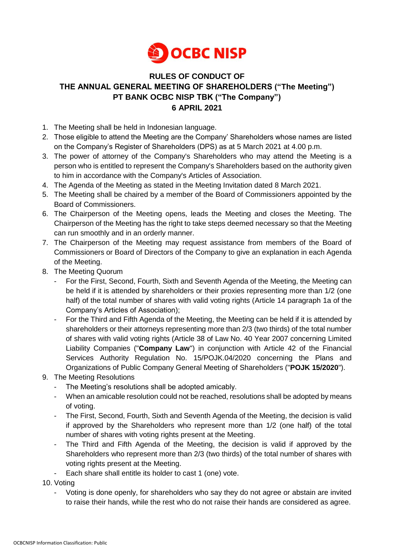

## **RULES OF CONDUCT OF THE ANNUAL GENERAL MEETING OF SHAREHOLDERS ("The Meeting") PT BANK OCBC NISP TBK ("The Company") 6 APRIL 2021**

- 1. The Meeting shall be held in Indonesian language.
- 2. Those eligible to attend the Meeting are the Company' Shareholders whose names are listed on the Company's Register of Shareholders (DPS) as at 5 March 2021 at 4.00 p.m.
- 3. The power of attorney of the Company's Shareholders who may attend the Meeting is a person who is entitled to represent the Company's Shareholders based on the authority given to him in accordance with the Company's Articles of Association.
- 4. The Agenda of the Meeting as stated in the Meeting Invitation dated 8 March 2021.
- 5. The Meeting shall be chaired by a member of the Board of Commissioners appointed by the Board of Commissioners.
- 6. The Chairperson of the Meeting opens, leads the Meeting and closes the Meeting. The Chairperson of the Meeting has the right to take steps deemed necessary so that the Meeting can run smoothly and in an orderly manner.
- 7. The Chairperson of the Meeting may request assistance from members of the Board of Commissioners or Board of Directors of the Company to give an explanation in each Agenda of the Meeting.
- 8. The Meeting Quorum
	- For the First, Second, Fourth, Sixth and Seventh Agenda of the Meeting, the Meeting can be held if it is attended by shareholders or their proxies representing more than 1/2 (one half) of the total number of shares with valid voting rights (Article 14 paragraph 1a of the Company's Articles of Association);
	- For the Third and Fifth Agenda of the Meeting, the Meeting can be held if it is attended by shareholders or their attorneys representing more than 2/3 (two thirds) of the total number of shares with valid voting rights (Article 38 of Law No. 40 Year 2007 concerning Limited Liability Companies ("**Company Law**") in conjunction with Article 42 of the Financial Services Authority Regulation No. 15/POJK.04/2020 concerning the Plans and Organizations of Public Company General Meeting of Shareholders ("**POJK 15/2020**").
- 9. The Meeting Resolutions
	- The Meeting's resolutions shall be adopted amicably.
	- When an amicable resolution could not be reached, resolutions shall be adopted by means of voting.
	- The First, Second, Fourth, Sixth and Seventh Agenda of the Meeting, the decision is valid if approved by the Shareholders who represent more than 1/2 (one half) of the total number of shares with voting rights present at the Meeting.
	- The Third and Fifth Agenda of the Meeting, the decision is valid if approved by the Shareholders who represent more than 2/3 (two thirds) of the total number of shares with voting rights present at the Meeting.
	- Each share shall entitle its holder to cast 1 (one) vote.

10. Voting

- Voting is done openly, for shareholders who say they do not agree or abstain are invited to raise their hands, while the rest who do not raise their hands are considered as agree.